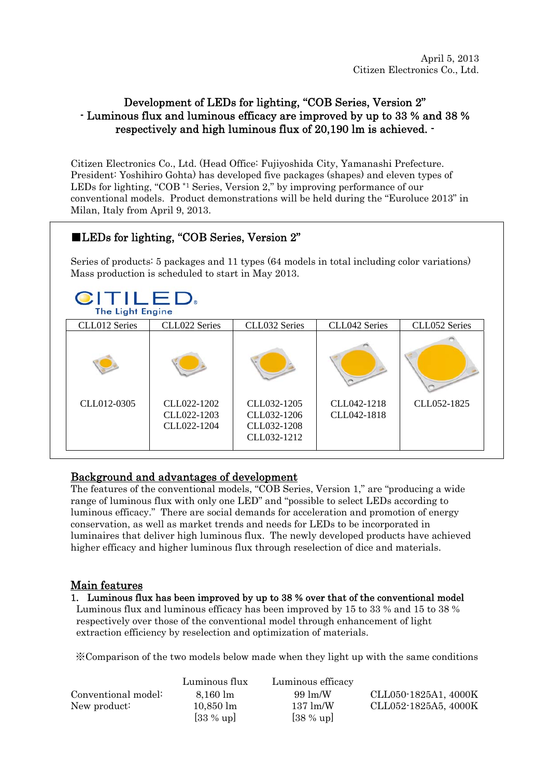# Development of LEDs for lighting, "COB Series, Version 2" - Luminous flux and luminous efficacy are improved by up to 33 % and 38 % respectively and high luminous flux of 20,190 lm is achieved. -

Citizen Electronics Co., Ltd. (Head Office: Fujiyoshida City, Yamanashi Prefecture. President: Yoshihiro Gohta) has developed five packages (shapes) and eleven types of LEDs for lighting, "COB \*1 Series, Version 2," by improving performance of our conventional models. Product demonstrations will be held during the "Euroluce 2013" in Milan, Italy from April 9, 2013.

# ■LEDs for lighting, "COB Series, Version 2"

Series of products: 5 packages and 11 types (64 models in total including color variations) Mass production is scheduled to start in May 2013.

# CITILED.

| CLL012 Series | CLL022 Series                             | CLL032 Series                                            | CLL042 Series              | CLL052 Series |
|---------------|-------------------------------------------|----------------------------------------------------------|----------------------------|---------------|
|               |                                           |                                                          |                            |               |
| CLL012-0305   | CLL022-1202<br>CLL022-1203<br>CLL022-1204 | CLL032-1205<br>CLL032-1206<br>CLL032-1208<br>CLL032-1212 | CLL042-1218<br>CLL042-1818 | CLL052-1825   |

# Background and advantages of development

The features of the conventional models, "COB Series, Version 1," are "producing a wide range of luminous flux with only one LED" and "possible to select LEDs according to luminous efficacy." There are social demands for acceleration and promotion of energy conservation, as well as market trends and needs for LEDs to be incorporated in luminaires that deliver high luminous flux. The newly developed products have achieved higher efficacy and higher luminous flux through reselection of dice and materials.

# Main features

#### 1. Luminous flux has been improved by up to 38 % over that of the conventional model

Luminous flux and luminous efficacy has been improved by 15 to 33 % and 15 to 38 % respectively over those of the conventional model through enhancement of light extraction efficiency by reselection and optimization of materials.

※Comparison of the two models below made when they light up with the same conditions

|                     | Luminous flux       | Luminous efficacy  |                      |
|---------------------|---------------------|--------------------|----------------------|
| Conventional model: | $8.160 \; \rm{lm}$  | $99 \text{ lm/W}$  | CLL050-1825A1, 4000K |
| New product:        | $10,850 \;{\rm lm}$ | $137 \text{ lm/W}$ | CLL052-1825A5, 4000K |
|                     | $[33\%$ up]         | $[38\%$ up]        |                      |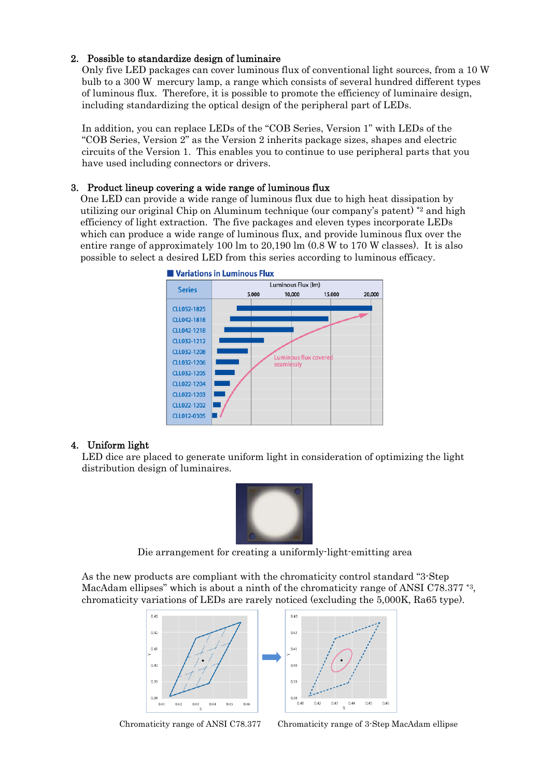#### 2. Possible to standardize design of luminaire

Only five LED packages can cover luminous flux of conventional light sources, from a 10 W bulb to a 300 W mercury lamp, a range which consists of several hundred different types of luminous flux. Therefore, it is possible to promote the efficiency of luminaire design, including standardizing the optical design of the peripheral part of LEDs.

In addition, you can replace LEDs of the "COB Series, Version 1" with LEDs of the "COB Series, Version 2" as the Version 2 inherits package sizes, shapes and electric circuits of the Version 1. This enables you to continue to use peripheral parts that you have used including connectors or drivers.

#### 3. Product lineup covering a wide range of luminous flux

One LED can provide a wide range of luminous flux due to high heat dissipation by utilizing our original Chip on Aluminum technique (our company's patent) \*2 and high efficiency of light extraction. The five packages and eleven types incorporate LEDs which can produce a wide range of luminous flux, and provide luminous flux over the entire range of approximately 100 lm to 20,190 lm (0.8 W to 170 W classes). It is also possible to select a desired LED from this series according to luminous efficacy.



#### 4. Uniform light

LED dice are placed to generate uniform light in consideration of optimizing the light distribution design of luminaires.



Die arrangement for creating a uniformly-light-emitting area

As the new products are compliant with the chromaticity control standard "3-Step MacAdam ellipses" which is about a ninth of the chromaticity range of ANSI C78.377<sup>\*3</sup>, chromaticity variations of LEDs are rarely noticed (excluding the 5,000K, Ra65 type).



Chromaticity range of ANSI C78.377 Chromaticity range of 3-Step MacAdam ellipse